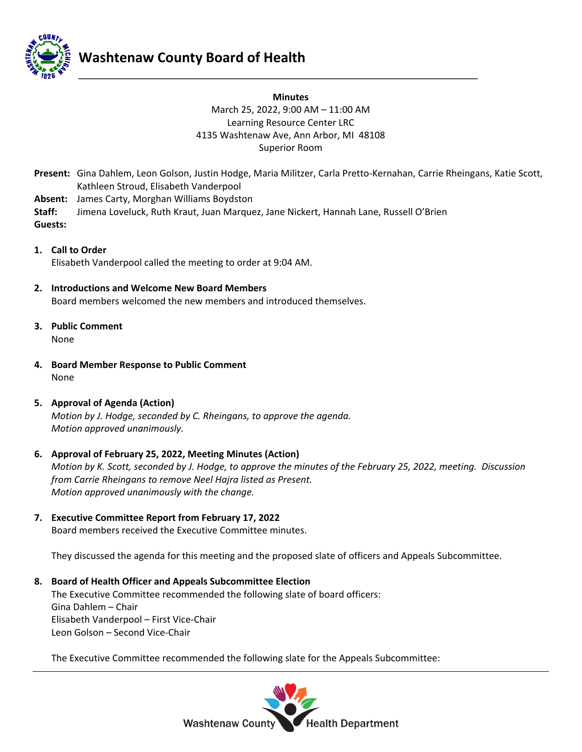

# **Washtenaw County Board of Health**

### **Minutes** March 25, 2022, 9:00 AM – 11:00 AM Learning Resource Center LRC 4135 Washtenaw Ave, Ann Arbor, MI 48108 Superior Room

**\_\_\_\_\_\_\_\_\_\_\_\_\_\_\_\_\_\_\_\_\_\_\_\_\_\_\_\_\_\_\_\_\_\_\_\_\_\_\_\_\_\_\_\_\_\_\_\_\_\_\_\_\_\_\_\_\_\_\_\_\_\_\_\_\_\_\_\_\_\_**

- **Present:** Gina Dahlem, Leon Golson, Justin Hodge, Maria Militzer, Carla Pretto-Kernahan, Carrie Rheingans, Katie Scott, Kathleen Stroud, Elisabeth Vanderpool
- **Absent:** James Carty, Morghan Williams Boydston
- **Staff:** Jimena Loveluck, Ruth Kraut, Juan Marquez, Jane Nickert, Hannah Lane, Russell O'Brien **Guests:**
- **1. Call to Order** Elisabeth Vanderpool called the meeting to order at 9:04 AM.
- **2. Introductions and Welcome New Board Members** Board members welcomed the new members and introduced themselves.
- **3. Public Comment** None
- **4. Board Member Response to Public Comment** None
- **5. Approval of Agenda (Action)** *Motion by J. Hodge, seconded by C. Rheingans, to approve the agenda. Motion approved unanimously.*
- **6. Approval of February 25, 2022, Meeting Minutes (Action)** *Motion by K. Scott, seconded by J. Hodge, to approve the minutes of the February 25, 2022, meeting. Discussion from Carrie Rheingans to remove Neel Hajra listed as Present. Motion approved unanimously with the change.*
- **7. Executive Committee Report from February 17, 2022** Board members received the Executive Committee minutes.

They discussed the agenda for this meeting and the proposed slate of officers and Appeals Subcommittee.

**8. Board of Health Officer and Appeals Subcommittee Election** The Executive Committee recommended the following slate of board officers: Gina Dahlem – Chair Elisabeth Vanderpool – First Vice-Chair Leon Golson – Second Vice-Chair

The Executive Committee recommended the following slate for the Appeals Subcommittee:

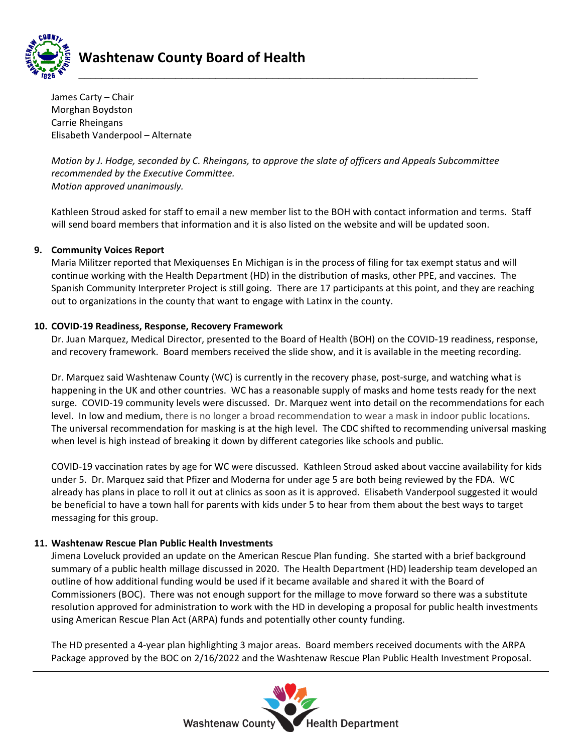

James Carty – Chair Morghan Boydston Carrie Rheingans Elisabeth Vanderpool – Alternate

*Motion by J. Hodge, seconded by C. Rheingans, to approve the slate of officers and Appeals Subcommittee recommended by the Executive Committee. Motion approved unanimously.* 

Kathleen Stroud asked for staff to email a new member list to the BOH with contact information and terms. Staff will send board members that information and it is also listed on the website and will be updated soon.

#### **9. Community Voices Report**

Maria Militzer reported that Mexiquenses En Michigan is in the process of filing for tax exempt status and will continue working with the Health Department (HD) in the distribution of masks, other PPE, and vaccines. The Spanish Community Interpreter Project is still going. There are 17 participants at this point, and they are reaching out to organizations in the county that want to engage with Latinx in the county.

#### **10. COVID-19 Readiness, Response, Recovery Framework**

Dr. Juan Marquez, Medical Director, presented to the Board of Health (BOH) on the COVID-19 readiness, response, and recovery framework. Board members received the slide show, and it is available in the meeting recording.

Dr. Marquez said Washtenaw County (WC) is currently in the recovery phase, post-surge, and watching what is happening in the UK and other countries. WC has a reasonable supply of masks and home tests ready for the next surge. COVID-19 community levels were discussed. Dr. Marquez went into detail on the recommendations for each level. In low and medium, there is no longer a broad recommendation to wear a mask in indoor public locations. The universal recommendation for masking is at the high level. The CDC shifted to recommending universal masking when level is high instead of breaking it down by different categories like schools and public.

COVID-19 vaccination rates by age for WC were discussed. Kathleen Stroud asked about vaccine availability for kids under 5. Dr. Marquez said that Pfizer and Moderna for under age 5 are both being reviewed by the FDA. WC already has plans in place to roll it out at clinics as soon as it is approved. Elisabeth Vanderpool suggested it would be beneficial to have a town hall for parents with kids under 5 to hear from them about the best ways to target messaging for this group.

#### **11. Washtenaw Rescue Plan Public Health Investments**

Jimena Loveluck provided an update on the American Rescue Plan funding. She started with a brief background summary of a public health millage discussed in 2020. The Health Department (HD) leadership team developed an outline of how additional funding would be used if it became available and shared it with the Board of Commissioners (BOC). There was not enough support for the millage to move forward so there was a substitute resolution approved for administration to work with the HD in developing a proposal for public health investments using American Rescue Plan Act (ARPA) funds and potentially other county funding.

The HD presented a 4-year plan highlighting 3 major areas. Board members received documents with the ARPA Package approved by the BOC on 2/16/2022 and the Washtenaw Rescue Plan Public Health Investment Proposal.